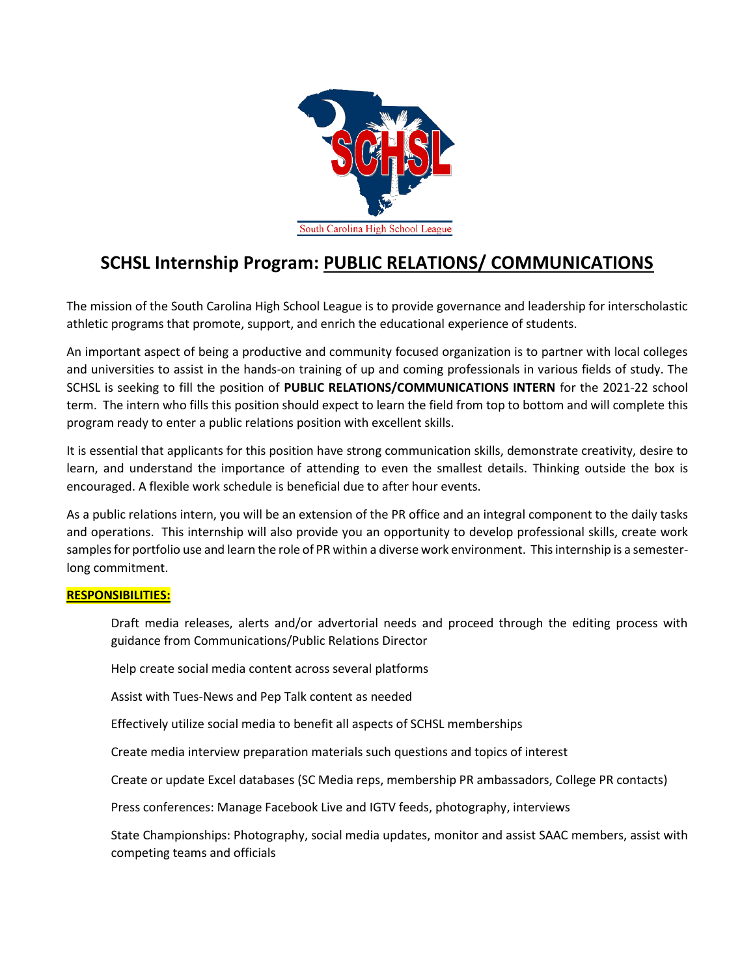

# **SCHSL Internship Program: PUBLIC RELATIONS/ COMMUNICATIONS**

The mission of the South Carolina High School League is to provide governance and leadership for interscholastic athletic programs that promote, support, and enrich the educational experience of students.

An important aspect of being a productive and community focused organization is to partner with local colleges and universities to assist in the hands-on training of up and coming professionals in various fields of study. The SCHSL is seeking to fill the position of **PUBLIC RELATIONS/COMMUNICATIONS INTERN** for the 2021-22 school term. The intern who fills this position should expect to learn the field from top to bottom and will complete this program ready to enter a public relations position with excellent skills.

It is essential that applicants for this position have strong communication skills, demonstrate creativity, desire to learn, and understand the importance of attending to even the smallest details. Thinking outside the box is encouraged. A flexible work schedule is beneficial due to after hour events.

As a public relations intern, you will be an extension of the PR office and an integral component to the daily tasks and operations. This internship will also provide you an opportunity to develop professional skills, create work samples for portfolio use and learn the role of PR within a diverse work environment. This internship is a semesterlong commitment.

## **RESPONSIBILITIES:**

Draft media releases, alerts and/or advertorial needs and proceed through the editing process with guidance from Communications/Public Relations Director

Help create social media content across several platforms

Assist with Tues-News and Pep Talk content as needed

Effectively utilize social media to benefit all aspects of SCHSL memberships

Create media interview preparation materials such questions and topics of interest

Create or update Excel databases (SC Media reps, membership PR ambassadors, College PR contacts)

Press conferences: Manage Facebook Live and IGTV feeds, photography, interviews

State Championships: Photography, social media updates, monitor and assist SAAC members, assist with competing teams and officials